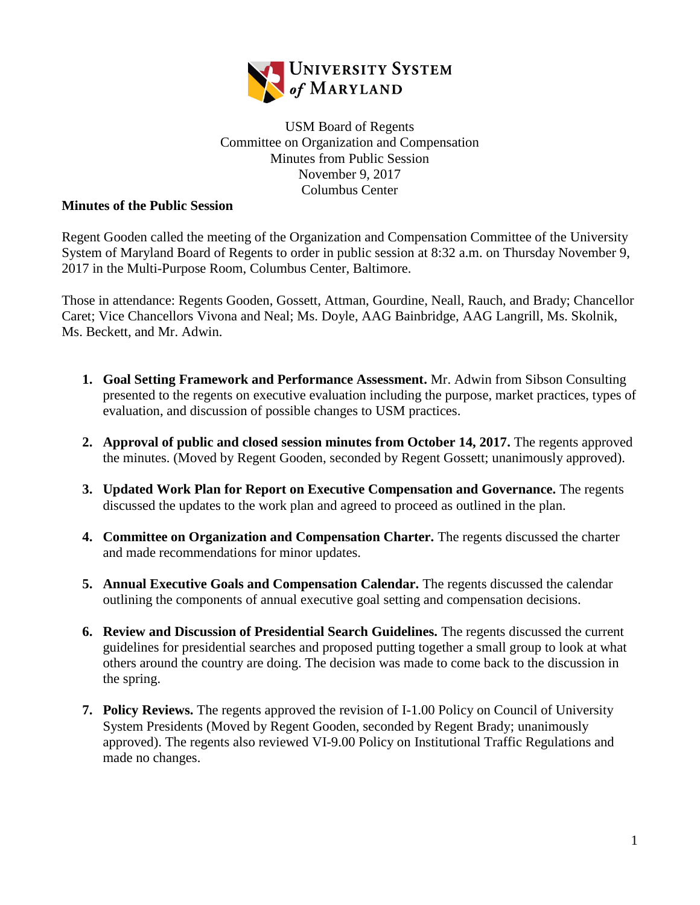

USM Board of Regents Committee on Organization and Compensation Minutes from Public Session November 9, 2017 Columbus Center

## **Minutes of the Public Session**

Regent Gooden called the meeting of the Organization and Compensation Committee of the University System of Maryland Board of Regents to order in public session at 8:32 a.m. on Thursday November 9, 2017 in the Multi-Purpose Room, Columbus Center, Baltimore.

Those in attendance: Regents Gooden, Gossett, Attman, Gourdine, Neall, Rauch, and Brady; Chancellor Caret; Vice Chancellors Vivona and Neal; Ms. Doyle, AAG Bainbridge, AAG Langrill, Ms. Skolnik, Ms. Beckett, and Mr. Adwin.

- **1. Goal Setting Framework and Performance Assessment.** Mr. Adwin from Sibson Consulting presented to the regents on executive evaluation including the purpose, market practices, types of evaluation, and discussion of possible changes to USM practices.
- **2. Approval of public and closed session minutes from October 14, 2017.** The regents approved the minutes. (Moved by Regent Gooden, seconded by Regent Gossett; unanimously approved).
- **3. Updated Work Plan for Report on Executive Compensation and Governance.** The regents discussed the updates to the work plan and agreed to proceed as outlined in the plan.
- **4. Committee on Organization and Compensation Charter.** The regents discussed the charter and made recommendations for minor updates.
- **5. Annual Executive Goals and Compensation Calendar.** The regents discussed the calendar outlining the components of annual executive goal setting and compensation decisions.
- **6. Review and Discussion of Presidential Search Guidelines.** The regents discussed the current guidelines for presidential searches and proposed putting together a small group to look at what others around the country are doing. The decision was made to come back to the discussion in the spring.
- **7. Policy Reviews.** The regents approved the revision of I-1.00 Policy on Council of University System Presidents (Moved by Regent Gooden, seconded by Regent Brady; unanimously approved). The regents also reviewed VI-9.00 Policy on Institutional Traffic Regulations and made no changes.